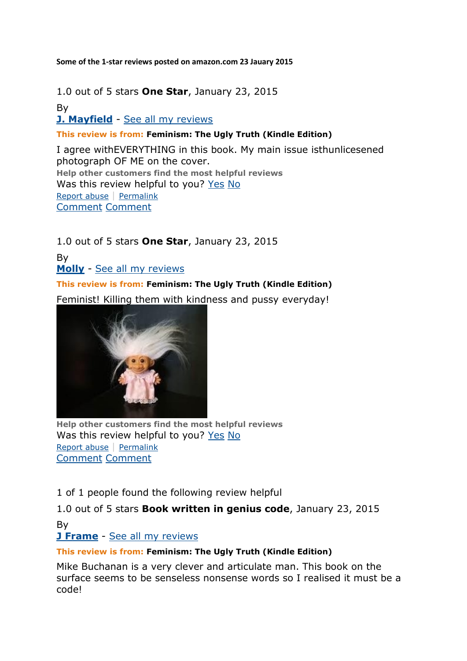**Some of the 1-star reviews posted on amazon.com 23 Jauary 2015**

1.0 out of 5 stars **One Star**, January 23, 2015 By **[J. Mayfield](http://www.amazon.com/gp/pdp/profile/A2RQ11TCDOQKMW/ref=cm_cr_pr_pdp)** - [See all my reviews](http://www.amazon.com/gp/cdp/member-reviews/A2RQ11TCDOQKMW/ref=cm_cr_pr_auth_rev?ie=UTF8&sort_by=MostRecentReview)

**This review is from: Feminism: The Ugly Truth (Kindle Edition)**

I agree withEVERYTHING in this book. My main issue isthunlicesened photograph OF ME on the cover. **Help other customers find the most helpful reviews** Was this review helpful to you? [Yes](http://www.amazon.com/gp/voting/cast/Reviews/2115/R24HK65SK2Q7GQ/Helpful/1/ref=cm_cr_prvoteyn?ie=UTF8&target=aHR0cDovL3d3dy5hbWF6b24uY29tL3Jldmlldy9CMDA3OTVCUEVPL3JlZj1jbV9jcl9wcnZvdGVyZHI_X2VuY29kaW5nPVVURjgmc2hvd1ZpZXdwb2ludHM9MCZzb3J0Qnk9YnlTdWJtaXNzaW9uRGF0ZURlc2NlbmRpbmc&token=961D6A131F7BBDA1D043508B4485C3F95DCC297C&voteAnchorName=R24HK65SK2Q7GQ.2115.Helpful.Reviews&voteSessionID=184-3769442-0867816) [No](http://www.amazon.com/gp/voting/cast/Reviews/2115/R24HK65SK2Q7GQ/Helpful/-1/ref=cm_cr_prvoteyn?ie=UTF8&target=aHR0cDovL3d3dy5hbWF6b24uY29tL3Jldmlldy9CMDA3OTVCUEVPL3JlZj1jbV9jcl9wcnZvdGVyZHI_X2VuY29kaW5nPVVURjgmc2hvd1ZpZXdwb2ludHM9MCZzb3J0Qnk9YnlTdWJtaXNzaW9uRGF0ZURlc2NlbmRpbmc&token=133770B52B1522A793FE53769BD4472FD387F863&voteAnchorName=R24HK65SK2Q7GQ.2115.Helpful.Reviews&voteSessionID=184-3769442-0867816) [Report abuse](http://www.amazon.com/gp/voting/cast/Reviews/2115/R24HK65SK2Q7GQ/Inappropriate/1/ref=cm_cr_prvoteyn?ie=UTF8&target=aHR0cDovL3d3dy5hbWF6b24uY29tL3Jldmlldy9CMDA3OTVCUEVPL3JlZj1jbV9jcl9wcnZvdGVyZHI_X2VuY29kaW5nPVVURjgmc2hvd1ZpZXdwb2ludHM9MCZzb3J0Qnk9YnlTdWJtaXNzaW9uRGF0ZURlc2NlbmRpbmc&token=08D38FDA9277CF869FBC79BB2D88919C8531732B&voteAnchorName=R24HK65SK2Q7GQ.2115.Inappropriate.Reviews&voteSessionID=184-3769442-0867816) | [Permalink](http://www.amazon.com/review/R24HK65SK2Q7GQ/ref=cm_cr_pr_perm?ie=UTF8&ASIN=B00795BPEO) [Comment](http://www.amazon.com/review/R24HK65SK2Q7GQ/ref=cm_cr_pr_cmt?ie=UTF8&ASIN=B00795BPEO#wasThisHelpful) [Comment](http://www.amazon.com/review/R24HK65SK2Q7GQ/ref=cm_cr_pr_cmt?ie=UTF8&ASIN=B00795BPEO#wasThisHelpful)

1.0 out of 5 stars **One Star**, January 23, 2015 By **[Molly](http://www.amazon.com/gp/pdp/profile/A18OAY2X4ENFGS/ref=cm_cr_pr_pdp)** - [See all my reviews](http://www.amazon.com/gp/cdp/member-reviews/A18OAY2X4ENFGS/ref=cm_cr_pr_auth_rev?ie=UTF8&sort_by=MostRecentReview) **This review is from: Feminism: The Ugly Truth (Kindle Edition)**

Feminist! Killing them with kindness and pussy everyday!



**Help other customers find the most helpful reviews** Was this review helpful to you? [Yes](http://www.amazon.com/gp/voting/cast/Reviews/2115/R2CLA9KDG437I7/Helpful/1/ref=cm_cr_prvoteyn?ie=UTF8&target=aHR0cDovL3d3dy5hbWF6b24uY29tL3Jldmlldy9CMDA3OTVCUEVPL3JlZj1jbV9jcl9wcnZvdGVyZHI_X2VuY29kaW5nPVVURjgmc2hvd1ZpZXdwb2ludHM9MCZzb3J0Qnk9YnlTdWJtaXNzaW9uRGF0ZURlc2NlbmRpbmc&token=0FDA24B6381594A030E214BE896C4CE5070D652A&voteAnchorName=R2CLA9KDG437I7.2115.Helpful.Reviews&voteSessionID=184-3769442-0867816) [No](http://www.amazon.com/gp/voting/cast/Reviews/2115/R2CLA9KDG437I7/Helpful/-1/ref=cm_cr_prvoteyn?ie=UTF8&target=aHR0cDovL3d3dy5hbWF6b24uY29tL3Jldmlldy9CMDA3OTVCUEVPL3JlZj1jbV9jcl9wcnZvdGVyZHI_X2VuY29kaW5nPVVURjgmc2hvd1ZpZXdwb2ludHM9MCZzb3J0Qnk9YnlTdWJtaXNzaW9uRGF0ZURlc2NlbmRpbmc&token=6BA05390BF96A539E2906F397475515264909241&voteAnchorName=R2CLA9KDG437I7.2115.Helpful.Reviews&voteSessionID=184-3769442-0867816) [Report abuse](http://www.amazon.com/gp/voting/cast/Reviews/2115/R2CLA9KDG437I7/Inappropriate/1/ref=cm_cr_prvoteyn?ie=UTF8&target=aHR0cDovL3d3dy5hbWF6b24uY29tL3Jldmlldy9CMDA3OTVCUEVPL3JlZj1jbV9jcl9wcnZvdGVyZHI_X2VuY29kaW5nPVVURjgmc2hvd1ZpZXdwb2ludHM9MCZzb3J0Qnk9YnlTdWJtaXNzaW9uRGF0ZURlc2NlbmRpbmc&token=7EFB2D06FF149802B051658863A0379ED4113601&voteAnchorName=R2CLA9KDG437I7.2115.Inappropriate.Reviews&voteSessionID=184-3769442-0867816) | [Permalink](http://www.amazon.com/review/R2CLA9KDG437I7/ref=cm_cr_pr_perm?ie=UTF8&ASIN=B00795BPEO) [Comment](http://www.amazon.com/review/R2CLA9KDG437I7/ref=cm_cr_pr_cmt?ie=UTF8&ASIN=B00795BPEO#wasThisHelpful) [Comment](http://www.amazon.com/review/R2CLA9KDG437I7/ref=cm_cr_pr_cmt?ie=UTF8&ASIN=B00795BPEO#wasThisHelpful)

1 of 1 people found the following review helpful

1.0 out of 5 stars **Book written in genius code**, January 23, 2015 By

#### **[J Frame](http://www.amazon.com/gp/pdp/profile/A1H78BXBQ45LS7/ref=cm_cr_pr_pdp)** - [See all my reviews](http://www.amazon.com/gp/cdp/member-reviews/A1H78BXBQ45LS7/ref=cm_cr_pr_auth_rev?ie=UTF8&sort_by=MostRecentReview)

#### **This review is from: Feminism: The Ugly Truth (Kindle Edition)**

Mike Buchanan is a very clever and articulate man. This book on the surface seems to be senseless nonsense words so I realised it must be a code!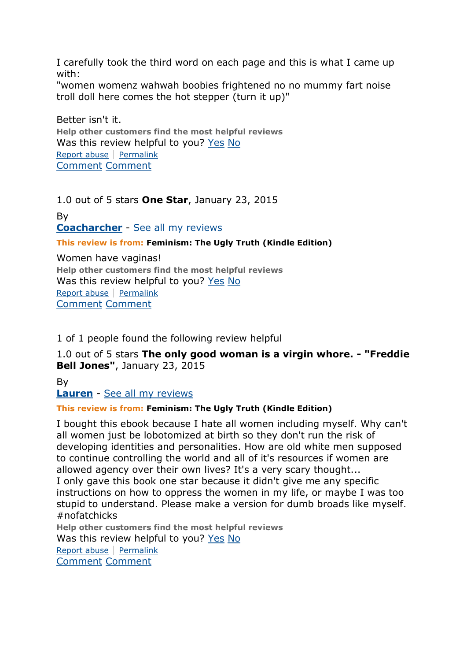I carefully took the third word on each page and this is what I came up with:

"women womenz wahwah boobies frightened no no mummy fart noise troll doll here comes the hot stepper (turn it up)"

Better isn't it. **Help other customers find the most helpful reviews** Was this review helpful to you? [Yes](http://www.amazon.com/gp/voting/cast/Reviews/2115/R3K4GNV0PZ15D7/Helpful/1/ref=cm_cr_prvoteyn?ie=UTF8&target=aHR0cDovL3d3dy5hbWF6b24uY29tL3Jldmlldy9CMDA3OTVCUEVPL3JlZj1jbV9jcl9wcnZvdGVyZHI_X2VuY29kaW5nPVVURjgmc2hvd1ZpZXdwb2ludHM9MCZzb3J0Qnk9YnlTdWJtaXNzaW9uRGF0ZURlc2NlbmRpbmc&token=FB8DF96712497DD512B067607344DC8A1ED4B386&voteAnchorName=R3K4GNV0PZ15D7.2115.Helpful.Reviews&voteSessionID=184-3769442-0867816) [No](http://www.amazon.com/gp/voting/cast/Reviews/2115/R3K4GNV0PZ15D7/Helpful/-1/ref=cm_cr_prvoteyn?ie=UTF8&target=aHR0cDovL3d3dy5hbWF6b24uY29tL3Jldmlldy9CMDA3OTVCUEVPL3JlZj1jbV9jcl9wcnZvdGVyZHI_X2VuY29kaW5nPVVURjgmc2hvd1ZpZXdwb2ludHM9MCZzb3J0Qnk9YnlTdWJtaXNzaW9uRGF0ZURlc2NlbmRpbmc&token=A658E41D4BF5E2CA7408C4E9853059E53B446D1B&voteAnchorName=R3K4GNV0PZ15D7.2115.Helpful.Reviews&voteSessionID=184-3769442-0867816) [Report abuse](http://www.amazon.com/gp/voting/cast/Reviews/2115/R3K4GNV0PZ15D7/Inappropriate/1/ref=cm_cr_prvoteyn?ie=UTF8&target=aHR0cDovL3d3dy5hbWF6b24uY29tL3Jldmlldy9CMDA3OTVCUEVPL3JlZj1jbV9jcl9wcnZvdGVyZHI_X2VuY29kaW5nPVVURjgmc2hvd1ZpZXdwb2ludHM9MCZzb3J0Qnk9YnlTdWJtaXNzaW9uRGF0ZURlc2NlbmRpbmc&token=2114C297D60040B9A02503CDE19A254120B163DD&voteAnchorName=R3K4GNV0PZ15D7.2115.Inappropriate.Reviews&voteSessionID=184-3769442-0867816) | [Permalink](http://www.amazon.com/review/R3K4GNV0PZ15D7/ref=cm_cr_pr_perm?ie=UTF8&ASIN=B00795BPEO) [Comment](http://www.amazon.com/review/R3K4GNV0PZ15D7/ref=cm_cr_pr_cmt?ie=UTF8&ASIN=B00795BPEO#wasThisHelpful) [Comment](http://www.amazon.com/review/R3K4GNV0PZ15D7/ref=cm_cr_pr_cmt?ie=UTF8&ASIN=B00795BPEO#wasThisHelpful)

1.0 out of 5 stars **One Star**, January 23, 2015

By **[Coacharcher](http://www.amazon.com/gp/pdp/profile/A3UEEIQ1XI25TS/ref=cm_cr_pr_pdp)** - [See all my reviews](http://www.amazon.com/gp/cdp/member-reviews/A3UEEIQ1XI25TS/ref=cm_cr_pr_auth_rev?ie=UTF8&sort_by=MostRecentReview)

#### **This review is from: Feminism: The Ugly Truth (Kindle Edition)**

Women have vaginas! **Help other customers find the most helpful reviews** Was this review helpful to you? [Yes](http://www.amazon.com/gp/voting/cast/Reviews/2115/RFNZBHR6RR24G/Helpful/1/ref=cm_cr_prvoteyn?ie=UTF8&target=aHR0cDovL3d3dy5hbWF6b24uY29tL3Jldmlldy9CMDA3OTVCUEVPL3JlZj1jbV9jcl9wcnZvdGVyZHI_X2VuY29kaW5nPVVURjgmc2hvd1ZpZXdwb2ludHM9MCZzb3J0Qnk9YnlTdWJtaXNzaW9uRGF0ZURlc2NlbmRpbmc&token=1D778CBAFD68A91654B0313E31BE22ED1C4878A8&voteAnchorName=RFNZBHR6RR24G.2115.Helpful.Reviews&voteSessionID=184-3769442-0867816) [No](http://www.amazon.com/gp/voting/cast/Reviews/2115/RFNZBHR6RR24G/Helpful/-1/ref=cm_cr_prvoteyn?ie=UTF8&target=aHR0cDovL3d3dy5hbWF6b24uY29tL3Jldmlldy9CMDA3OTVCUEVPL3JlZj1jbV9jcl9wcnZvdGVyZHI_X2VuY29kaW5nPVVURjgmc2hvd1ZpZXdwb2ludHM9MCZzb3J0Qnk9YnlTdWJtaXNzaW9uRGF0ZURlc2NlbmRpbmc&token=E44CB171C7802BD868CD1E551A60A181E7C033A1&voteAnchorName=RFNZBHR6RR24G.2115.Helpful.Reviews&voteSessionID=184-3769442-0867816) [Report abuse](http://www.amazon.com/gp/voting/cast/Reviews/2115/RFNZBHR6RR24G/Inappropriate/1/ref=cm_cr_prvoteyn?ie=UTF8&target=aHR0cDovL3d3dy5hbWF6b24uY29tL3Jldmlldy9CMDA3OTVCUEVPL3JlZj1jbV9jcl9wcnZvdGVyZHI_X2VuY29kaW5nPVVURjgmc2hvd1ZpZXdwb2ludHM9MCZzb3J0Qnk9YnlTdWJtaXNzaW9uRGF0ZURlc2NlbmRpbmc&token=A7485AB837215A0C9DFF674A30CF87951F34113F&voteAnchorName=RFNZBHR6RR24G.2115.Inappropriate.Reviews&voteSessionID=184-3769442-0867816) | [Permalink](http://www.amazon.com/review/RFNZBHR6RR24G/ref=cm_cr_pr_perm?ie=UTF8&ASIN=B00795BPEO) [Comment](http://www.amazon.com/review/RFNZBHR6RR24G/ref=cm_cr_pr_cmt?ie=UTF8&ASIN=B00795BPEO#wasThisHelpful) [Comment](http://www.amazon.com/review/RFNZBHR6RR24G/ref=cm_cr_pr_cmt?ie=UTF8&ASIN=B00795BPEO#wasThisHelpful)

1 of 1 people found the following review helpful

1.0 out of 5 stars **The only good woman is a virgin whore. - "Freddie Bell Jones"**, January 23, 2015

By

**[Lauren](http://www.amazon.com/gp/pdp/profile/A1HHBI9089P1M0/ref=cm_cr_pr_pdp)** - [See all my reviews](http://www.amazon.com/gp/cdp/member-reviews/A1HHBI9089P1M0/ref=cm_cr_pr_auth_rev?ie=UTF8&sort_by=MostRecentReview)

#### **This review is from: Feminism: The Ugly Truth (Kindle Edition)**

I bought this ebook because I hate all women including myself. Why can't all women just be lobotomized at birth so they don't run the risk of developing identities and personalities. How are old white men supposed to continue controlling the world and all of it's resources if women are allowed agency over their own lives? It's a very scary thought... I only gave this book one star because it didn't give me any specific instructions on how to oppress the women in my life, or maybe I was too stupid to understand. Please make a version for dumb broads like myself. #nofatchicks **Help other customers find the most helpful reviews** Was this review helpful to you? [Yes](http://www.amazon.com/gp/voting/cast/Reviews/2115/R74LX1GZB7W1E/Helpful/1/ref=cm_cr_prvoteyn?ie=UTF8&target=aHR0cDovL3d3dy5hbWF6b24uY29tL3Jldmlldy9CMDA3OTVCUEVPL3JlZj1jbV9jcl9wcnZvdGVyZHI_X2VuY29kaW5nPVVURjgmc2hvd1ZpZXdwb2ludHM9MCZzb3J0Qnk9YnlTdWJtaXNzaW9uRGF0ZURlc2NlbmRpbmc&token=FF6E0C513DE1608E9BDD28A78C52CE8CB1CC808F&voteAnchorName=R74LX1GZB7W1E.2115.Helpful.Reviews&voteSessionID=184-3769442-0867816) [No](http://www.amazon.com/gp/voting/cast/Reviews/2115/R74LX1GZB7W1E/Helpful/-1/ref=cm_cr_prvoteyn?ie=UTF8&target=aHR0cDovL3d3dy5hbWF6b24uY29tL3Jldmlldy9CMDA3OTVCUEVPL3JlZj1jbV9jcl9wcnZvdGVyZHI_X2VuY29kaW5nPVVURjgmc2hvd1ZpZXdwb2ludHM9MCZzb3J0Qnk9YnlTdWJtaXNzaW9uRGF0ZURlc2NlbmRpbmc&token=A81B69BA4BF666E339AE2DF9E82651E569267899&voteAnchorName=R74LX1GZB7W1E.2115.Helpful.Reviews&voteSessionID=184-3769442-0867816) [Report abuse](http://www.amazon.com/gp/voting/cast/Reviews/2115/R74LX1GZB7W1E/Inappropriate/1/ref=cm_cr_prvoteyn?ie=UTF8&target=aHR0cDovL3d3dy5hbWF6b24uY29tL3Jldmlldy9CMDA3OTVCUEVPL3JlZj1jbV9jcl9wcnZvdGVyZHI_X2VuY29kaW5nPVVURjgmc2hvd1ZpZXdwb2ludHM9MCZzb3J0Qnk9YnlTdWJtaXNzaW9uRGF0ZURlc2NlbmRpbmc&token=BA58B034589B8C4C74F7138880C4AD2CED5BA81C&voteAnchorName=R74LX1GZB7W1E.2115.Inappropriate.Reviews&voteSessionID=184-3769442-0867816) | [Permalink](http://www.amazon.com/review/R74LX1GZB7W1E/ref=cm_cr_pr_perm?ie=UTF8&ASIN=B00795BPEO) [Comment](http://www.amazon.com/review/R74LX1GZB7W1E/ref=cm_cr_pr_cmt?ie=UTF8&ASIN=B00795BPEO#wasThisHelpful) [Comment](http://www.amazon.com/review/R74LX1GZB7W1E/ref=cm_cr_pr_cmt?ie=UTF8&ASIN=B00795BPEO#wasThisHelpful)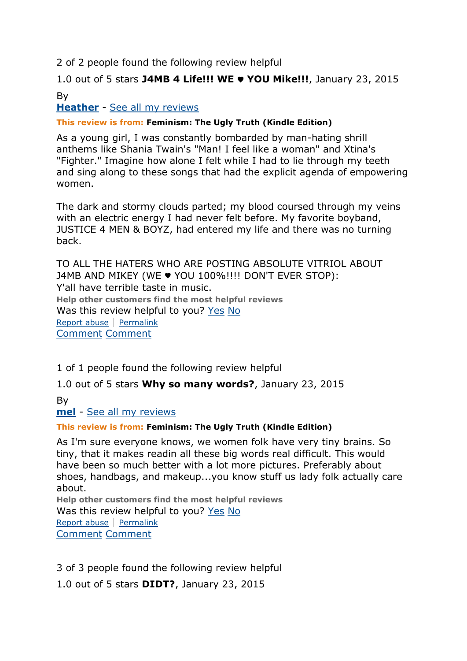# 2 of 2 people found the following review helpful

# 1.0 out of 5 stars **J4MB 4 Life!!! WE** ♥ **YOU Mike!!!**, January 23, 2015 By

# **[Heather](http://www.amazon.com/gp/pdp/profile/A3EUFARBFSQQ2H/ref=cm_cr_pr_pdp)** - [See all my reviews](http://www.amazon.com/gp/cdp/member-reviews/A3EUFARBFSQQ2H/ref=cm_cr_pr_auth_rev?ie=UTF8&sort_by=MostRecentReview)

#### **This review is from: Feminism: The Ugly Truth (Kindle Edition)**

As a young girl, I was constantly bombarded by man-hating shrill anthems like Shania Twain's "Man! I feel like a woman" and Xtina's "Fighter." Imagine how alone I felt while I had to lie through my teeth and sing along to these songs that had the explicit agenda of empowering women.

The dark and stormy clouds parted; my blood coursed through my veins with an electric energy I had never felt before. My favorite boyband, JUSTICE 4 MEN & BOYZ, had entered my life and there was no turning back.

TO ALL THE HATERS WHO ARE POSTING ABSOLUTE VITRIOL ABOUT J4MB AND MIKEY (WE ♥ YOU 100%!!!! DON'T EVER STOP): Y'all have terrible taste in music. **Help other customers find the most helpful reviews** Was this review helpful to you? [Yes](http://www.amazon.com/gp/voting/cast/Reviews/2115/RHHT8RP6OV9CJ/Helpful/1/ref=cm_cr_prvoteyn?ie=UTF8&target=aHR0cDovL3d3dy5hbWF6b24uY29tL3Jldmlldy9CMDA3OTVCUEVPL3JlZj1jbV9jcl9wcnZvdGVyZHI_X2VuY29kaW5nPVVURjgmc2hvd1ZpZXdwb2ludHM9MCZzb3J0Qnk9YnlTdWJtaXNzaW9uRGF0ZURlc2NlbmRpbmc&token=9D04AAF3CBCB892EE9AA3BAF68D8890821B10456&voteAnchorName=RHHT8RP6OV9CJ.2115.Helpful.Reviews&voteSessionID=184-3769442-0867816) [No](http://www.amazon.com/gp/voting/cast/Reviews/2115/RHHT8RP6OV9CJ/Helpful/-1/ref=cm_cr_prvoteyn?ie=UTF8&target=aHR0cDovL3d3dy5hbWF6b24uY29tL3Jldmlldy9CMDA3OTVCUEVPL3JlZj1jbV9jcl9wcnZvdGVyZHI_X2VuY29kaW5nPVVURjgmc2hvd1ZpZXdwb2ludHM9MCZzb3J0Qnk9YnlTdWJtaXNzaW9uRGF0ZURlc2NlbmRpbmc&token=84A77B587E7FD69A66F28101A67DD15D8BEE9E74&voteAnchorName=RHHT8RP6OV9CJ.2115.Helpful.Reviews&voteSessionID=184-3769442-0867816) [Report abuse](http://www.amazon.com/gp/voting/cast/Reviews/2115/RHHT8RP6OV9CJ/Inappropriate/1/ref=cm_cr_prvoteyn?ie=UTF8&target=aHR0cDovL3d3dy5hbWF6b24uY29tL3Jldmlldy9CMDA3OTVCUEVPL3JlZj1jbV9jcl9wcnZvdGVyZHI_X2VuY29kaW5nPVVURjgmc2hvd1ZpZXdwb2ludHM9MCZzb3J0Qnk9YnlTdWJtaXNzaW9uRGF0ZURlc2NlbmRpbmc&token=B814EB8FD344885AF04C3D2C75B4CBEB0AEDC3A3&voteAnchorName=RHHT8RP6OV9CJ.2115.Inappropriate.Reviews&voteSessionID=184-3769442-0867816) | [Permalink](http://www.amazon.com/review/RHHT8RP6OV9CJ/ref=cm_cr_pr_perm?ie=UTF8&ASIN=B00795BPEO) [Comment](http://www.amazon.com/review/RHHT8RP6OV9CJ/ref=cm_cr_pr_cmt?ie=UTF8&ASIN=B00795BPEO#wasThisHelpful) [Comment](http://www.amazon.com/review/RHHT8RP6OV9CJ/ref=cm_cr_pr_cmt?ie=UTF8&ASIN=B00795BPEO#wasThisHelpful)

1 of 1 people found the following review helpful

1.0 out of 5 stars **Why so many words?**, January 23, 2015

By **[mel](http://www.amazon.com/gp/pdp/profile/A328L33B4XU18S/ref=cm_cr_pr_pdp)** - [See all my reviews](http://www.amazon.com/gp/cdp/member-reviews/A328L33B4XU18S/ref=cm_cr_pr_auth_rev?ie=UTF8&sort_by=MostRecentReview)

#### **This review is from: Feminism: The Ugly Truth (Kindle Edition)**

As I'm sure everyone knows, we women folk have very tiny brains. So tiny, that it makes readin all these big words real difficult. This would have been so much better with a lot more pictures. Preferably about shoes, handbags, and makeup...you know stuff us lady folk actually care about.

**Help other customers find the most helpful reviews** Was this review helpful to you? [Yes](http://www.amazon.com/gp/voting/cast/Reviews/2115/R6FX71JOFN4Y/Helpful/1/ref=cm_cr_prvoteyn?ie=UTF8&target=aHR0cDovL3d3dy5hbWF6b24uY29tL3Jldmlldy9CMDA3OTVCUEVPL3JlZj1jbV9jcl9wcnZvdGVyZHI_X2VuY29kaW5nPVVURjgmc2hvd1ZpZXdwb2ludHM9MCZzb3J0Qnk9YnlTdWJtaXNzaW9uRGF0ZURlc2NlbmRpbmc&token=5B361518C23374186D2376C3893A8E4D4EE78E65&voteAnchorName=R6FX71JOFN4Y.2115.Helpful.Reviews&voteSessionID=184-3769442-0867816) [No](http://www.amazon.com/gp/voting/cast/Reviews/2115/R6FX71JOFN4Y/Helpful/-1/ref=cm_cr_prvoteyn?ie=UTF8&target=aHR0cDovL3d3dy5hbWF6b24uY29tL3Jldmlldy9CMDA3OTVCUEVPL3JlZj1jbV9jcl9wcnZvdGVyZHI_X2VuY29kaW5nPVVURjgmc2hvd1ZpZXdwb2ludHM9MCZzb3J0Qnk9YnlTdWJtaXNzaW9uRGF0ZURlc2NlbmRpbmc&token=DBAC0C2EDFC684B9FAFBDA4AF33ED4BDB9FF7AF6&voteAnchorName=R6FX71JOFN4Y.2115.Helpful.Reviews&voteSessionID=184-3769442-0867816) [Report abuse](http://www.amazon.com/gp/voting/cast/Reviews/2115/R6FX71JOFN4Y/Inappropriate/1/ref=cm_cr_prvoteyn?ie=UTF8&target=aHR0cDovL3d3dy5hbWF6b24uY29tL3Jldmlldy9CMDA3OTVCUEVPL3JlZj1jbV9jcl9wcnZvdGVyZHI_X2VuY29kaW5nPVVURjgmc2hvd1ZpZXdwb2ludHM9MCZzb3J0Qnk9YnlTdWJtaXNzaW9uRGF0ZURlc2NlbmRpbmc&token=41A1F1C7175A23DDF47831979202E0FA6C378C65&voteAnchorName=R6FX71JOFN4Y.2115.Inappropriate.Reviews&voteSessionID=184-3769442-0867816) | [Permalink](http://www.amazon.com/review/R6FX71JOFN4Y/ref=cm_cr_pr_perm?ie=UTF8&ASIN=B00795BPEO) [Comment](http://www.amazon.com/review/R6FX71JOFN4Y/ref=cm_cr_pr_cmt?ie=UTF8&ASIN=B00795BPEO#wasThisHelpful) [Comment](http://www.amazon.com/review/R6FX71JOFN4Y/ref=cm_cr_pr_cmt?ie=UTF8&ASIN=B00795BPEO#wasThisHelpful)

3 of 3 people found the following review helpful 1.0 out of 5 stars **DIDT?**, January 23, 2015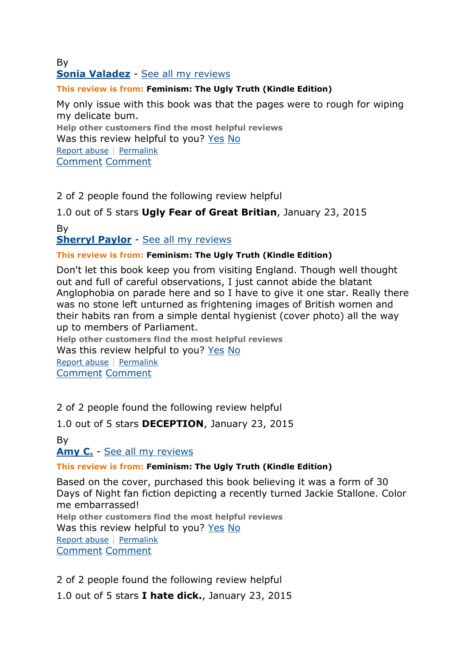# By **[Sonia Valadez](http://www.amazon.com/gp/pdp/profile/A32IYWVNOK6ZTW/ref=cm_cr_pr_pdp)** - [See all my reviews](http://www.amazon.com/gp/cdp/member-reviews/A32IYWVNOK6ZTW/ref=cm_cr_pr_auth_rev?ie=UTF8&sort_by=MostRecentReview)

### **This review is from: Feminism: The Ugly Truth (Kindle Edition)**

My only issue with this book was that the pages were to rough for wiping my delicate bum.

**Help other customers find the most helpful reviews** Was this review helpful to you? [Yes](http://www.amazon.com/gp/voting/cast/Reviews/2115/R10JD8IA80JATH/Helpful/1/ref=cm_cr_prvoteyn?ie=UTF8&target=aHR0cDovL3d3dy5hbWF6b24uY29tL3Jldmlldy9CMDA3OTVCUEVPL3JlZj1jbV9jcl9wcnZvdGVyZHI_X2VuY29kaW5nPVVURjgmc2hvd1ZpZXdwb2ludHM9MCZzb3J0Qnk9YnlTdWJtaXNzaW9uRGF0ZURlc2NlbmRpbmc&token=1F2035E10A59DE14A9E88CFE7395D0BFEF1086B2&voteAnchorName=R10JD8IA80JATH.2115.Helpful.Reviews&voteSessionID=184-3769442-0867816) [No](http://www.amazon.com/gp/voting/cast/Reviews/2115/R10JD8IA80JATH/Helpful/-1/ref=cm_cr_prvoteyn?ie=UTF8&target=aHR0cDovL3d3dy5hbWF6b24uY29tL3Jldmlldy9CMDA3OTVCUEVPL3JlZj1jbV9jcl9wcnZvdGVyZHI_X2VuY29kaW5nPVVURjgmc2hvd1ZpZXdwb2ludHM9MCZzb3J0Qnk9YnlTdWJtaXNzaW9uRGF0ZURlc2NlbmRpbmc&token=6B6DA59DAE905084F31DE576CAC9AA5B2813A893&voteAnchorName=R10JD8IA80JATH.2115.Helpful.Reviews&voteSessionID=184-3769442-0867816) [Report abuse](http://www.amazon.com/gp/voting/cast/Reviews/2115/R10JD8IA80JATH/Inappropriate/1/ref=cm_cr_prvoteyn?ie=UTF8&target=aHR0cDovL3d3dy5hbWF6b24uY29tL3Jldmlldy9CMDA3OTVCUEVPL3JlZj1jbV9jcl9wcnZvdGVyZHI_X2VuY29kaW5nPVVURjgmc2hvd1ZpZXdwb2ludHM9MCZzb3J0Qnk9YnlTdWJtaXNzaW9uRGF0ZURlc2NlbmRpbmc&token=54B3379B85FBAFF35C59574F1D2CFCB3384EC6EB&voteAnchorName=R10JD8IA80JATH.2115.Inappropriate.Reviews&voteSessionID=184-3769442-0867816) | [Permalink](http://www.amazon.com/review/R10JD8IA80JATH/ref=cm_cr_pr_perm?ie=UTF8&ASIN=B00795BPEO) [Comment](http://www.amazon.com/review/R10JD8IA80JATH/ref=cm_cr_pr_cmt?ie=UTF8&ASIN=B00795BPEO#wasThisHelpful) [Comment](http://www.amazon.com/review/R10JD8IA80JATH/ref=cm_cr_pr_cmt?ie=UTF8&ASIN=B00795BPEO#wasThisHelpful)

2 of 2 people found the following review helpful

1.0 out of 5 stars **Ugly Fear of Great Britian**, January 23, 2015

By

**[Sherryl Paylor](http://www.amazon.com/gp/pdp/profile/A1M3QLRHAWCP2Z/ref=cm_cr_pr_pdp)** - [See all my reviews](http://www.amazon.com/gp/cdp/member-reviews/A1M3QLRHAWCP2Z/ref=cm_cr_pr_auth_rev?ie=UTF8&sort_by=MostRecentReview)

#### **This review is from: Feminism: The Ugly Truth (Kindle Edition)**

Don't let this book keep you from visiting England. Though well thought out and full of careful observations, I just cannot abide the blatant Anglophobia on parade here and so I have to give it one star. Really there was no stone left unturned as frightening images of British women and their habits ran from a simple dental hygienist (cover photo) all the way up to members of Parliament.

**Help other customers find the most helpful reviews** Was this review helpful to you? [Yes](http://www.amazon.com/gp/voting/cast/Reviews/2115/R32QZ9MB3BMXWG/Helpful/1/ref=cm_cr_prvoteyn?ie=UTF8&target=aHR0cDovL3d3dy5hbWF6b24uY29tL3Jldmlldy9CMDA3OTVCUEVPL3JlZj1jbV9jcl9wcnZvdGVyZHI_X2VuY29kaW5nPVVURjgmc2hvd1ZpZXdwb2ludHM9MCZzb3J0Qnk9YnlTdWJtaXNzaW9uRGF0ZURlc2NlbmRpbmc&token=5360CB998720A16A513E9D0E1BADF6595B7EB7B4&voteAnchorName=R32QZ9MB3BMXWG.2115.Helpful.Reviews&voteSessionID=184-3769442-0867816) [No](http://www.amazon.com/gp/voting/cast/Reviews/2115/R32QZ9MB3BMXWG/Helpful/-1/ref=cm_cr_prvoteyn?ie=UTF8&target=aHR0cDovL3d3dy5hbWF6b24uY29tL3Jldmlldy9CMDA3OTVCUEVPL3JlZj1jbV9jcl9wcnZvdGVyZHI_X2VuY29kaW5nPVVURjgmc2hvd1ZpZXdwb2ludHM9MCZzb3J0Qnk9YnlTdWJtaXNzaW9uRGF0ZURlc2NlbmRpbmc&token=ADCCA616FF6ED425DA6EF38C604D95F6DA66FA2A&voteAnchorName=R32QZ9MB3BMXWG.2115.Helpful.Reviews&voteSessionID=184-3769442-0867816) [Report abuse](http://www.amazon.com/gp/voting/cast/Reviews/2115/R32QZ9MB3BMXWG/Inappropriate/1/ref=cm_cr_prvoteyn?ie=UTF8&target=aHR0cDovL3d3dy5hbWF6b24uY29tL3Jldmlldy9CMDA3OTVCUEVPL3JlZj1jbV9jcl9wcnZvdGVyZHI_X2VuY29kaW5nPVVURjgmc2hvd1ZpZXdwb2ludHM9MCZzb3J0Qnk9YnlTdWJtaXNzaW9uRGF0ZURlc2NlbmRpbmc&token=34DFE2E13825A366A7140199CD9030097470E7CE&voteAnchorName=R32QZ9MB3BMXWG.2115.Inappropriate.Reviews&voteSessionID=184-3769442-0867816) | [Permalink](http://www.amazon.com/review/R32QZ9MB3BMXWG/ref=cm_cr_pr_perm?ie=UTF8&ASIN=B00795BPEO) [Comment](http://www.amazon.com/review/R32QZ9MB3BMXWG/ref=cm_cr_pr_cmt?ie=UTF8&ASIN=B00795BPEO#wasThisHelpful) [Comment](http://www.amazon.com/review/R32QZ9MB3BMXWG/ref=cm_cr_pr_cmt?ie=UTF8&ASIN=B00795BPEO#wasThisHelpful)

2 of 2 people found the following review helpful

1.0 out of 5 stars **DECEPTION**, January 23, 2015

By

**[Amy C.](http://www.amazon.com/gp/pdp/profile/A2WZA2V54Z45VC/ref=cm_cr_pr_pdp)** - [See all my reviews](http://www.amazon.com/gp/cdp/member-reviews/A2WZA2V54Z45VC/ref=cm_cr_pr_auth_rev?ie=UTF8&sort_by=MostRecentReview)

# **This review is from: Feminism: The Ugly Truth (Kindle Edition)**

Based on the cover, purchased this book believing it was a form of 30 Days of Night fan fiction depicting a recently turned Jackie Stallone. Color me embarrassed! **Help other customers find the most helpful reviews**

Was this review helpful to you? [Yes](http://www.amazon.com/gp/voting/cast/Reviews/2115/R1UE6JVYLVAUUE/Helpful/1/ref=cm_cr_prvoteyn?ie=UTF8&target=aHR0cDovL3d3dy5hbWF6b24uY29tL3Jldmlldy9CMDA3OTVCUEVPL3JlZj1jbV9jcl9wcnZvdGVyZHI_X2VuY29kaW5nPVVURjgmc2hvd1ZpZXdwb2ludHM9MCZzb3J0Qnk9YnlTdWJtaXNzaW9uRGF0ZURlc2NlbmRpbmc&token=B79317189CBEC671590181D3EAD5158A350BF4B7&voteAnchorName=R1UE6JVYLVAUUE.2115.Helpful.Reviews&voteSessionID=184-3769442-0867816) [No](http://www.amazon.com/gp/voting/cast/Reviews/2115/R1UE6JVYLVAUUE/Helpful/-1/ref=cm_cr_prvoteyn?ie=UTF8&target=aHR0cDovL3d3dy5hbWF6b24uY29tL3Jldmlldy9CMDA3OTVCUEVPL3JlZj1jbV9jcl9wcnZvdGVyZHI_X2VuY29kaW5nPVVURjgmc2hvd1ZpZXdwb2ludHM9MCZzb3J0Qnk9YnlTdWJtaXNzaW9uRGF0ZURlc2NlbmRpbmc&token=ADDD350A30FA09CDADB05D6EF28E4A9CA23F95E8&voteAnchorName=R1UE6JVYLVAUUE.2115.Helpful.Reviews&voteSessionID=184-3769442-0867816)

[Report abuse](http://www.amazon.com/gp/voting/cast/Reviews/2115/R1UE6JVYLVAUUE/Inappropriate/1/ref=cm_cr_prvoteyn?ie=UTF8&target=aHR0cDovL3d3dy5hbWF6b24uY29tL3Jldmlldy9CMDA3OTVCUEVPL3JlZj1jbV9jcl9wcnZvdGVyZHI_X2VuY29kaW5nPVVURjgmc2hvd1ZpZXdwb2ludHM9MCZzb3J0Qnk9YnlTdWJtaXNzaW9uRGF0ZURlc2NlbmRpbmc&token=A4786FDE1C14B48640BBF93B52C50FE72F5E72FF&voteAnchorName=R1UE6JVYLVAUUE.2115.Inappropriate.Reviews&voteSessionID=184-3769442-0867816) | [Permalink](http://www.amazon.com/review/R1UE6JVYLVAUUE/ref=cm_cr_pr_perm?ie=UTF8&ASIN=B00795BPEO) [Comment](http://www.amazon.com/review/R1UE6JVYLVAUUE/ref=cm_cr_pr_cmt?ie=UTF8&ASIN=B00795BPEO#wasThisHelpful) [Comment](http://www.amazon.com/review/R1UE6JVYLVAUUE/ref=cm_cr_pr_cmt?ie=UTF8&ASIN=B00795BPEO#wasThisHelpful)

2 of 2 people found the following review helpful

1.0 out of 5 stars **I hate dick.**, January 23, 2015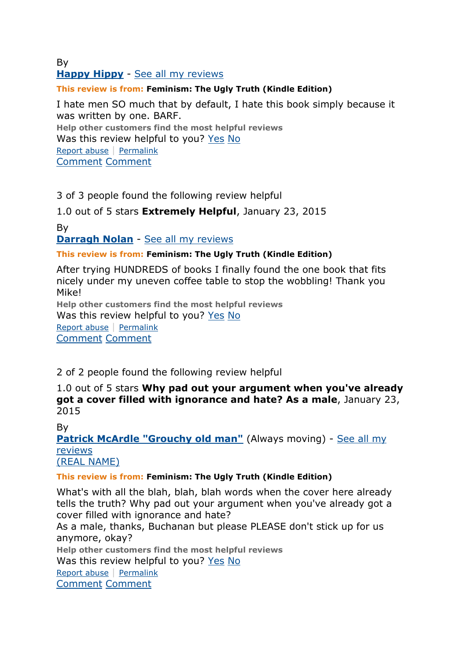#### By **[Happy Hippy](http://www.amazon.com/gp/pdp/profile/AJ607XPAJ3HG/ref=cm_cr_pr_pdp)** - [See all my reviews](http://www.amazon.com/gp/cdp/member-reviews/AJ607XPAJ3HG/ref=cm_cr_pr_auth_rev?ie=UTF8&sort_by=MostRecentReview)

### **This review is from: Feminism: The Ugly Truth (Kindle Edition)**

I hate men SO much that by default, I hate this book simply because it was written by one. BARF. **Help other customers find the most helpful reviews** Was this review helpful to you? [Yes](http://www.amazon.com/gp/voting/cast/Reviews/2115/R2W64985ZMUXVB/Helpful/1/ref=cm_cr_prvoteyn?ie=UTF8&target=aHR0cDovL3d3dy5hbWF6b24uY29tL3Jldmlldy9CMDA3OTVCUEVPL3JlZj1jbV9jcl9wcnZvdGVyZHI_X2VuY29kaW5nPVVURjgmcGFnZU51bWJlcj0yJnNob3dWaWV3cG9pbnRzPTAmc29ydEJ5PWJ5U3VibWlzc2lvbkRhdGVEZXNjZW5kaW5n&token=C777F6003D0A9F0F7EB64AC1CD246B547B4FCAFD&voteAnchorName=R2W64985ZMUXVB.2115.Helpful.Reviews&voteSessionID=184-3769442-0867816) [No](http://www.amazon.com/gp/voting/cast/Reviews/2115/R2W64985ZMUXVB/Helpful/-1/ref=cm_cr_prvoteyn?ie=UTF8&target=aHR0cDovL3d3dy5hbWF6b24uY29tL3Jldmlldy9CMDA3OTVCUEVPL3JlZj1jbV9jcl9wcnZvdGVyZHI_X2VuY29kaW5nPVVURjgmcGFnZU51bWJlcj0yJnNob3dWaWV3cG9pbnRzPTAmc29ydEJ5PWJ5U3VibWlzc2lvbkRhdGVEZXNjZW5kaW5n&token=7B55DD51BDC0A17ED915919BADF0226A59F5D713&voteAnchorName=R2W64985ZMUXVB.2115.Helpful.Reviews&voteSessionID=184-3769442-0867816)

[Report abuse](http://www.amazon.com/gp/voting/cast/Reviews/2115/R2W64985ZMUXVB/Inappropriate/1/ref=cm_cr_prvoteyn?ie=UTF8&target=aHR0cDovL3d3dy5hbWF6b24uY29tL3Jldmlldy9CMDA3OTVCUEVPL3JlZj1jbV9jcl9wcnZvdGVyZHI_X2VuY29kaW5nPVVURjgmcGFnZU51bWJlcj0yJnNob3dWaWV3cG9pbnRzPTAmc29ydEJ5PWJ5U3VibWlzc2lvbkRhdGVEZXNjZW5kaW5n&token=A6FCF1E855844E68C6B0B5C9DB0B72E3DAE70097&voteAnchorName=R2W64985ZMUXVB.2115.Inappropriate.Reviews&voteSessionID=184-3769442-0867816) | [Permalink](http://www.amazon.com/review/R2W64985ZMUXVB/ref=cm_cr_pr_perm?ie=UTF8&ASIN=B00795BPEO)

[Comment](http://www.amazon.com/review/R2W64985ZMUXVB/ref=cm_cr_pr_cmt?ie=UTF8&ASIN=B00795BPEO#wasThisHelpful) [Comment](http://www.amazon.com/review/R2W64985ZMUXVB/ref=cm_cr_pr_cmt?ie=UTF8&ASIN=B00795BPEO#wasThisHelpful)

3 of 3 people found the following review helpful

1.0 out of 5 stars **Extremely Helpful**, January 23, 2015

By

**[Darragh Nolan](http://www.amazon.com/gp/pdp/profile/A3CJOFC8D00VMH/ref=cm_cr_pr_pdp)** - [See all my reviews](http://www.amazon.com/gp/cdp/member-reviews/A3CJOFC8D00VMH/ref=cm_cr_pr_auth_rev?ie=UTF8&sort_by=MostRecentReview)

#### **This review is from: Feminism: The Ugly Truth (Kindle Edition)**

After trying HUNDREDS of books I finally found the one book that fits nicely under my uneven coffee table to stop the wobbling! Thank you Mike! **Help other customers find the most helpful reviews** Was this review helpful to you? [Yes](http://www.amazon.com/gp/voting/cast/Reviews/2115/R31W4FYDUW2G8E/Helpful/1/ref=cm_cr_prvoteyn?ie=UTF8&target=aHR0cDovL3d3dy5hbWF6b24uY29tL3Jldmlldy9CMDA3OTVCUEVPL3JlZj1jbV9jcl9wcnZvdGVyZHI_X2VuY29kaW5nPVVURjgmcGFnZU51bWJlcj0yJnNob3dWaWV3cG9pbnRzPTAmc29ydEJ5PWJ5U3VibWlzc2lvbkRhdGVEZXNjZW5kaW5n&token=49796FF44BF111DC7D1B3916F3F8C88478025E83&voteAnchorName=R31W4FYDUW2G8E.2115.Helpful.Reviews&voteSessionID=184-3769442-0867816) [No](http://www.amazon.com/gp/voting/cast/Reviews/2115/R31W4FYDUW2G8E/Helpful/-1/ref=cm_cr_prvoteyn?ie=UTF8&target=aHR0cDovL3d3dy5hbWF6b24uY29tL3Jldmlldy9CMDA3OTVCUEVPL3JlZj1jbV9jcl9wcnZvdGVyZHI_X2VuY29kaW5nPVVURjgmcGFnZU51bWJlcj0yJnNob3dWaWV3cG9pbnRzPTAmc29ydEJ5PWJ5U3VibWlzc2lvbkRhdGVEZXNjZW5kaW5n&token=86DCD5D4562090F8405F83A95D6C0E65A18C679E&voteAnchorName=R31W4FYDUW2G8E.2115.Helpful.Reviews&voteSessionID=184-3769442-0867816) [Report abuse](http://www.amazon.com/gp/voting/cast/Reviews/2115/R31W4FYDUW2G8E/Inappropriate/1/ref=cm_cr_prvoteyn?ie=UTF8&target=aHR0cDovL3d3dy5hbWF6b24uY29tL3Jldmlldy9CMDA3OTVCUEVPL3JlZj1jbV9jcl9wcnZvdGVyZHI_X2VuY29kaW5nPVVURjgmcGFnZU51bWJlcj0yJnNob3dWaWV3cG9pbnRzPTAmc29ydEJ5PWJ5U3VibWlzc2lvbkRhdGVEZXNjZW5kaW5n&token=EEFE360D5DB9C0F0B2405705F3E0C9E72C9D8894&voteAnchorName=R31W4FYDUW2G8E.2115.Inappropriate.Reviews&voteSessionID=184-3769442-0867816) | [Permalink](http://www.amazon.com/review/R31W4FYDUW2G8E/ref=cm_cr_pr_perm?ie=UTF8&ASIN=B00795BPEO)

[Comment](http://www.amazon.com/review/R31W4FYDUW2G8E/ref=cm_cr_pr_cmt?ie=UTF8&ASIN=B00795BPEO#wasThisHelpful) [Comment](http://www.amazon.com/review/R31W4FYDUW2G8E/ref=cm_cr_pr_cmt?ie=UTF8&ASIN=B00795BPEO#wasThisHelpful)

2 of 2 people found the following review helpful

1.0 out of 5 stars **Why pad out your argument when you've already got a cover filled with ignorance and hate? As a male**, January 23, 2015

By

**[Patrick McArdle "Grouchy old man"](http://www.amazon.com/gp/pdp/profile/A72KW0IRQQ04H/ref=cm_cr_pr_pdp)** (Always moving) - See all my [reviews](http://www.amazon.com/gp/cdp/member-reviews/A72KW0IRQQ04H/ref=cm_cr_pr_auth_rev?ie=UTF8&sort_by=MostRecentReview) [\(REAL NAME\)](http://www.amazon.com/gp/help/customer/display.html/ref=cm_rn_bdg_help?ie=UTF8&nodeId=14279681&pop-up=1#RN) 

**This review is from: Feminism: The Ugly Truth (Kindle Edition)**

What's with all the blah, blah, blah words when the cover here already tells the truth? Why pad out your argument when you've already got a cover filled with ignorance and hate?

As a male, thanks, Buchanan but please PLEASE don't stick up for us anymore, okay?

**Help other customers find the most helpful reviews**

Was this review helpful to you? [Yes](http://www.amazon.com/gp/voting/cast/Reviews/2115/RDG6U1IEP1ACG/Helpful/1/ref=cm_cr_prvoteyn?ie=UTF8&target=aHR0cDovL3d3dy5hbWF6b24uY29tL3Jldmlldy9CMDA3OTVCUEVPL3JlZj1jbV9jcl9wcnZvdGVyZHI_X2VuY29kaW5nPVVURjgmcGFnZU51bWJlcj0yJnNob3dWaWV3cG9pbnRzPTAmc29ydEJ5PWJ5U3VibWlzc2lvbkRhdGVEZXNjZW5kaW5n&token=0265E7B93DC75F38FF735AEC2AF2E7D7E39F42B8&voteAnchorName=RDG6U1IEP1ACG.2115.Helpful.Reviews&voteSessionID=184-3769442-0867816) [No](http://www.amazon.com/gp/voting/cast/Reviews/2115/RDG6U1IEP1ACG/Helpful/-1/ref=cm_cr_prvoteyn?ie=UTF8&target=aHR0cDovL3d3dy5hbWF6b24uY29tL3Jldmlldy9CMDA3OTVCUEVPL3JlZj1jbV9jcl9wcnZvdGVyZHI_X2VuY29kaW5nPVVURjgmcGFnZU51bWJlcj0yJnNob3dWaWV3cG9pbnRzPTAmc29ydEJ5PWJ5U3VibWlzc2lvbkRhdGVEZXNjZW5kaW5n&token=4DF543CC68C4976308CFA9DFB20CE6B365364377&voteAnchorName=RDG6U1IEP1ACG.2115.Helpful.Reviews&voteSessionID=184-3769442-0867816)

[Report abuse](http://www.amazon.com/gp/voting/cast/Reviews/2115/RDG6U1IEP1ACG/Inappropriate/1/ref=cm_cr_prvoteyn?ie=UTF8&target=aHR0cDovL3d3dy5hbWF6b24uY29tL3Jldmlldy9CMDA3OTVCUEVPL3JlZj1jbV9jcl9wcnZvdGVyZHI_X2VuY29kaW5nPVVURjgmcGFnZU51bWJlcj0yJnNob3dWaWV3cG9pbnRzPTAmc29ydEJ5PWJ5U3VibWlzc2lvbkRhdGVEZXNjZW5kaW5n&token=D69FEC53C382D0B96CD7DE5845EA98AE270DCC44&voteAnchorName=RDG6U1IEP1ACG.2115.Inappropriate.Reviews&voteSessionID=184-3769442-0867816) | [Permalink](http://www.amazon.com/review/RDG6U1IEP1ACG/ref=cm_cr_pr_perm?ie=UTF8&ASIN=B00795BPEO) [Comment](http://www.amazon.com/review/RDG6U1IEP1ACG/ref=cm_cr_pr_cmt?ie=UTF8&ASIN=B00795BPEO#wasThisHelpful) [Comment](http://www.amazon.com/review/RDG6U1IEP1ACG/ref=cm_cr_pr_cmt?ie=UTF8&ASIN=B00795BPEO#wasThisHelpful)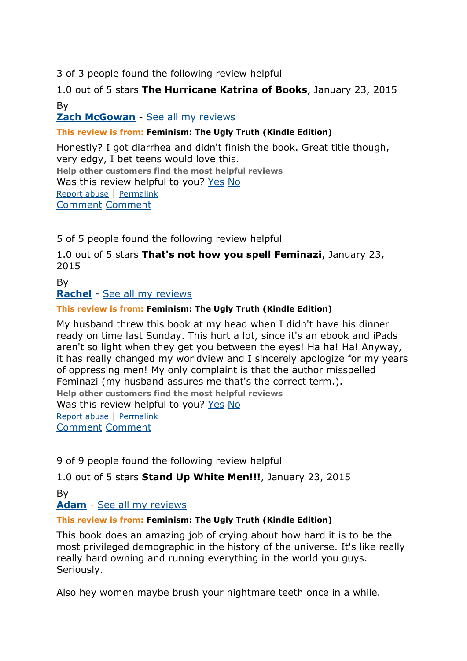3 of 3 people found the following review helpful

1.0 out of 5 stars **The Hurricane Katrina of Books**, January 23, 2015 By

# **[Zach McGowan](http://www.amazon.com/gp/pdp/profile/A1KWIUSJYRRP6L/ref=cm_cr_pr_pdp)** - [See all my reviews](http://www.amazon.com/gp/cdp/member-reviews/A1KWIUSJYRRP6L/ref=cm_cr_pr_auth_rev?ie=UTF8&sort_by=MostRecentReview)

#### **This review is from: Feminism: The Ugly Truth (Kindle Edition)**

Honestly? I got diarrhea and didn't finish the book. Great title though, very edgy, I bet teens would love this. **Help other customers find the most helpful reviews** Was this review helpful to you? [Yes](http://www.amazon.com/gp/voting/cast/Reviews/2115/R3GM2VDJH1GY9H/Helpful/1/ref=cm_cr_prvoteyn?ie=UTF8&target=aHR0cDovL3d3dy5hbWF6b24uY29tL3Jldmlldy9CMDA3OTVCUEVPL3JlZj1jbV9jcl9wcnZvdGVyZHI_X2VuY29kaW5nPVVURjgmcGFnZU51bWJlcj0yJnNob3dWaWV3cG9pbnRzPTAmc29ydEJ5PWJ5U3VibWlzc2lvbkRhdGVEZXNjZW5kaW5n&token=D5B870EAAB458E8759E67EB6EA716611A2F8CCD0&voteAnchorName=R3GM2VDJH1GY9H.2115.Helpful.Reviews&voteSessionID=184-3769442-0867816) [No](http://www.amazon.com/gp/voting/cast/Reviews/2115/R3GM2VDJH1GY9H/Helpful/-1/ref=cm_cr_prvoteyn?ie=UTF8&target=aHR0cDovL3d3dy5hbWF6b24uY29tL3Jldmlldy9CMDA3OTVCUEVPL3JlZj1jbV9jcl9wcnZvdGVyZHI_X2VuY29kaW5nPVVURjgmcGFnZU51bWJlcj0yJnNob3dWaWV3cG9pbnRzPTAmc29ydEJ5PWJ5U3VibWlzc2lvbkRhdGVEZXNjZW5kaW5n&token=464542849F6FE1A0295FDDFBF748511983DF2EFB&voteAnchorName=R3GM2VDJH1GY9H.2115.Helpful.Reviews&voteSessionID=184-3769442-0867816) [Report abuse](http://www.amazon.com/gp/voting/cast/Reviews/2115/R3GM2VDJH1GY9H/Inappropriate/1/ref=cm_cr_prvoteyn?ie=UTF8&target=aHR0cDovL3d3dy5hbWF6b24uY29tL3Jldmlldy9CMDA3OTVCUEVPL3JlZj1jbV9jcl9wcnZvdGVyZHI_X2VuY29kaW5nPVVURjgmcGFnZU51bWJlcj0yJnNob3dWaWV3cG9pbnRzPTAmc29ydEJ5PWJ5U3VibWlzc2lvbkRhdGVEZXNjZW5kaW5n&token=9523AAA7980BF95CCF69DDB923350465FA52D424&voteAnchorName=R3GM2VDJH1GY9H.2115.Inappropriate.Reviews&voteSessionID=184-3769442-0867816) | [Permalink](http://www.amazon.com/review/R3GM2VDJH1GY9H/ref=cm_cr_pr_perm?ie=UTF8&ASIN=B00795BPEO) [Comment](http://www.amazon.com/review/R3GM2VDJH1GY9H/ref=cm_cr_pr_cmt?ie=UTF8&ASIN=B00795BPEO#wasThisHelpful) [Comment](http://www.amazon.com/review/R3GM2VDJH1GY9H/ref=cm_cr_pr_cmt?ie=UTF8&ASIN=B00795BPEO#wasThisHelpful)

5 of 5 people found the following review helpful

1.0 out of 5 stars **That's not how you spell Feminazi**, January 23, 2015

By **[Rachel](http://www.amazon.com/gp/pdp/profile/A2ML2GBNJ2VUUX/ref=cm_cr_pr_pdp)** - [See all my reviews](http://www.amazon.com/gp/cdp/member-reviews/A2ML2GBNJ2VUUX/ref=cm_cr_pr_auth_rev?ie=UTF8&sort_by=MostRecentReview)

#### **This review is from: Feminism: The Ugly Truth (Kindle Edition)**

My husband threw this book at my head when I didn't have his dinner ready on time last Sunday. This hurt a lot, since it's an ebook and iPads aren't so light when they get you between the eyes! Ha ha! Ha! Anyway, it has really changed my worldview and I sincerely apologize for my years of oppressing men! My only complaint is that the author misspelled Feminazi (my husband assures me that's the correct term.). **Help other customers find the most helpful reviews** Was this review helpful to you? [Yes](http://www.amazon.com/gp/voting/cast/Reviews/2115/RSOYOL5Y8C4KD/Helpful/1/ref=cm_cr_prvoteyn?ie=UTF8&target=aHR0cDovL3d3dy5hbWF6b24uY29tL3Jldmlldy9CMDA3OTVCUEVPL3JlZj1jbV9jcl9wcnZvdGVyZHI_X2VuY29kaW5nPVVURjgmcGFnZU51bWJlcj0yJnNob3dWaWV3cG9pbnRzPTAmc29ydEJ5PWJ5U3VibWlzc2lvbkRhdGVEZXNjZW5kaW5n&token=103726F5B01446E1ADC9C8DD9A135E4755D0A1A0&voteAnchorName=RSOYOL5Y8C4KD.2115.Helpful.Reviews&voteSessionID=184-3769442-0867816) [No](http://www.amazon.com/gp/voting/cast/Reviews/2115/RSOYOL5Y8C4KD/Helpful/-1/ref=cm_cr_prvoteyn?ie=UTF8&target=aHR0cDovL3d3dy5hbWF6b24uY29tL3Jldmlldy9CMDA3OTVCUEVPL3JlZj1jbV9jcl9wcnZvdGVyZHI_X2VuY29kaW5nPVVURjgmcGFnZU51bWJlcj0yJnNob3dWaWV3cG9pbnRzPTAmc29ydEJ5PWJ5U3VibWlzc2lvbkRhdGVEZXNjZW5kaW5n&token=3BD1D41C90A8BDBFF61EA0EECB300177C0A74E0E&voteAnchorName=RSOYOL5Y8C4KD.2115.Helpful.Reviews&voteSessionID=184-3769442-0867816) [Report abuse](http://www.amazon.com/gp/voting/cast/Reviews/2115/RSOYOL5Y8C4KD/Inappropriate/1/ref=cm_cr_prvoteyn?ie=UTF8&target=aHR0cDovL3d3dy5hbWF6b24uY29tL3Jldmlldy9CMDA3OTVCUEVPL3JlZj1jbV9jcl9wcnZvdGVyZHI_X2VuY29kaW5nPVVURjgmcGFnZU51bWJlcj0yJnNob3dWaWV3cG9pbnRzPTAmc29ydEJ5PWJ5U3VibWlzc2lvbkRhdGVEZXNjZW5kaW5n&token=C098A58A7A92355A583EBAE688DD490DCCA4C421&voteAnchorName=RSOYOL5Y8C4KD.2115.Inappropriate.Reviews&voteSessionID=184-3769442-0867816) | [Permalink](http://www.amazon.com/review/RSOYOL5Y8C4KD/ref=cm_cr_pr_perm?ie=UTF8&ASIN=B00795BPEO) [Comment](http://www.amazon.com/review/RSOYOL5Y8C4KD/ref=cm_cr_pr_cmt?ie=UTF8&ASIN=B00795BPEO#wasThisHelpful) [Comment](http://www.amazon.com/review/RSOYOL5Y8C4KD/ref=cm_cr_pr_cmt?ie=UTF8&ASIN=B00795BPEO#wasThisHelpful)

9 of 9 people found the following review helpful

1.0 out of 5 stars **Stand Up White Men!!!**, January 23, 2015

By

#### **[Adam](http://www.amazon.com/gp/pdp/profile/A1S55ZBUCN6ITH/ref=cm_cr_pr_pdp)** - [See all my reviews](http://www.amazon.com/gp/cdp/member-reviews/A1S55ZBUCN6ITH/ref=cm_cr_pr_auth_rev?ie=UTF8&sort_by=MostRecentReview)

#### **This review is from: Feminism: The Ugly Truth (Kindle Edition)**

This book does an amazing job of crying about how hard it is to be the most privileged demographic in the history of the universe. It's like really really hard owning and running everything in the world you guys. Seriously.

Also hey women maybe brush your nightmare teeth once in a while.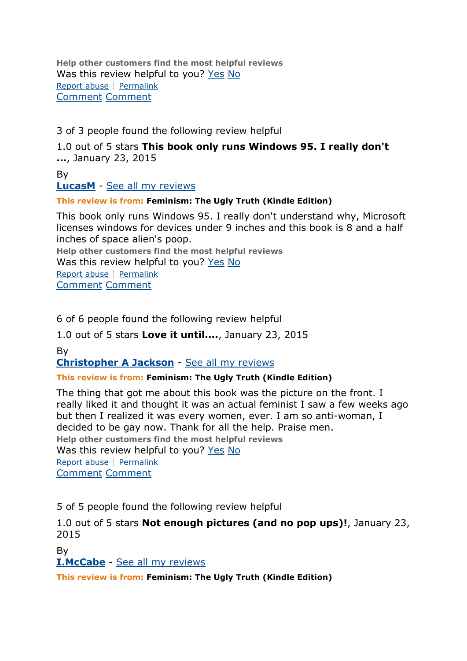**Help other customers find the most helpful reviews** Was this review helpful to you? [Yes](http://www.amazon.com/gp/voting/cast/Reviews/2115/R18TL4UD2Z7SDO/Helpful/1/ref=cm_cr_prvoteyn?ie=UTF8&target=aHR0cDovL3d3dy5hbWF6b24uY29tL3Jldmlldy9CMDA3OTVCUEVPL3JlZj1jbV9jcl9wcnZvdGVyZHI_X2VuY29kaW5nPVVURjgmcGFnZU51bWJlcj0yJnNob3dWaWV3cG9pbnRzPTAmc29ydEJ5PWJ5U3VibWlzc2lvbkRhdGVEZXNjZW5kaW5n&token=F95859E8C45B7FA6065858A6C19CED03DD358625&voteAnchorName=R18TL4UD2Z7SDO.2115.Helpful.Reviews&voteSessionID=184-3769442-0867816) [No](http://www.amazon.com/gp/voting/cast/Reviews/2115/R18TL4UD2Z7SDO/Helpful/-1/ref=cm_cr_prvoteyn?ie=UTF8&target=aHR0cDovL3d3dy5hbWF6b24uY29tL3Jldmlldy9CMDA3OTVCUEVPL3JlZj1jbV9jcl9wcnZvdGVyZHI_X2VuY29kaW5nPVVURjgmcGFnZU51bWJlcj0yJnNob3dWaWV3cG9pbnRzPTAmc29ydEJ5PWJ5U3VibWlzc2lvbkRhdGVEZXNjZW5kaW5n&token=AC7A3ED768DA252FB35F62DCFFD4DA7106091919&voteAnchorName=R18TL4UD2Z7SDO.2115.Helpful.Reviews&voteSessionID=184-3769442-0867816) [Report abuse](http://www.amazon.com/gp/voting/cast/Reviews/2115/R18TL4UD2Z7SDO/Inappropriate/1/ref=cm_cr_prvoteyn?ie=UTF8&target=aHR0cDovL3d3dy5hbWF6b24uY29tL3Jldmlldy9CMDA3OTVCUEVPL3JlZj1jbV9jcl9wcnZvdGVyZHI_X2VuY29kaW5nPVVURjgmcGFnZU51bWJlcj0yJnNob3dWaWV3cG9pbnRzPTAmc29ydEJ5PWJ5U3VibWlzc2lvbkRhdGVEZXNjZW5kaW5n&token=1AED7DF1A05542B3F0B314A6F549F9293C25653C&voteAnchorName=R18TL4UD2Z7SDO.2115.Inappropriate.Reviews&voteSessionID=184-3769442-0867816) | [Permalink](http://www.amazon.com/review/R18TL4UD2Z7SDO/ref=cm_cr_pr_perm?ie=UTF8&ASIN=B00795BPEO) [Comment](http://www.amazon.com/review/R18TL4UD2Z7SDO/ref=cm_cr_pr_cmt?ie=UTF8&ASIN=B00795BPEO#wasThisHelpful) [Comment](http://www.amazon.com/review/R18TL4UD2Z7SDO/ref=cm_cr_pr_cmt?ie=UTF8&ASIN=B00795BPEO#wasThisHelpful)

### 3 of 3 people found the following review helpful

1.0 out of 5 stars **This book only runs Windows 95. I really don't ...**, January 23, 2015

By

**[LucasM](http://www.amazon.com/gp/pdp/profile/A3JC6U73OE8WA9/ref=cm_cr_pr_pdp)** - [See all my reviews](http://www.amazon.com/gp/cdp/member-reviews/A3JC6U73OE8WA9/ref=cm_cr_pr_auth_rev?ie=UTF8&sort_by=MostRecentReview)

#### **This review is from: Feminism: The Ugly Truth (Kindle Edition)**

This book only runs Windows 95. I really don't understand why, Microsoft licenses windows for devices under 9 inches and this book is 8 and a half inches of space alien's poop.

**Help other customers find the most helpful reviews** Was this review helpful to you? [Yes](http://www.amazon.com/gp/voting/cast/Reviews/2115/RGBDF5VO0KAK7/Helpful/1/ref=cm_cr_prvoteyn?ie=UTF8&target=aHR0cDovL3d3dy5hbWF6b24uY29tL3Jldmlldy9CMDA3OTVCUEVPL3JlZj1jbV9jcl9wcnZvdGVyZHI_X2VuY29kaW5nPVVURjgmcGFnZU51bWJlcj0yJnNob3dWaWV3cG9pbnRzPTAmc29ydEJ5PWJ5U3VibWlzc2lvbkRhdGVEZXNjZW5kaW5n&token=FC77CF98371B60688AA0D554BC3F8F0715F7D20F&voteAnchorName=RGBDF5VO0KAK7.2115.Helpful.Reviews&voteSessionID=184-3769442-0867816) [No](http://www.amazon.com/gp/voting/cast/Reviews/2115/RGBDF5VO0KAK7/Helpful/-1/ref=cm_cr_prvoteyn?ie=UTF8&target=aHR0cDovL3d3dy5hbWF6b24uY29tL3Jldmlldy9CMDA3OTVCUEVPL3JlZj1jbV9jcl9wcnZvdGVyZHI_X2VuY29kaW5nPVVURjgmcGFnZU51bWJlcj0yJnNob3dWaWV3cG9pbnRzPTAmc29ydEJ5PWJ5U3VibWlzc2lvbkRhdGVEZXNjZW5kaW5n&token=04E6864394FFED14E281D852D6C4420C611D8200&voteAnchorName=RGBDF5VO0KAK7.2115.Helpful.Reviews&voteSessionID=184-3769442-0867816) [Report](http://www.amazon.com/gp/voting/cast/Reviews/2115/RGBDF5VO0KAK7/Inappropriate/1/ref=cm_cr_prvoteyn?ie=UTF8&target=aHR0cDovL3d3dy5hbWF6b24uY29tL3Jldmlldy9CMDA3OTVCUEVPL3JlZj1jbV9jcl9wcnZvdGVyZHI_X2VuY29kaW5nPVVURjgmcGFnZU51bWJlcj0yJnNob3dWaWV3cG9pbnRzPTAmc29ydEJ5PWJ5U3VibWlzc2lvbkRhdGVEZXNjZW5kaW5n&token=12843DCD91381ED50DD8FD5F6BF6C1E7AA90DF75&voteAnchorName=RGBDF5VO0KAK7.2115.Inappropriate.Reviews&voteSessionID=184-3769442-0867816) abuse | [Permalink](http://www.amazon.com/review/RGBDF5VO0KAK7/ref=cm_cr_pr_perm?ie=UTF8&ASIN=B00795BPEO) [Comment](http://www.amazon.com/review/RGBDF5VO0KAK7/ref=cm_cr_pr_cmt?ie=UTF8&ASIN=B00795BPEO#wasThisHelpful) [Comment](http://www.amazon.com/review/RGBDF5VO0KAK7/ref=cm_cr_pr_cmt?ie=UTF8&ASIN=B00795BPEO#wasThisHelpful)

6 of 6 people found the following review helpful

1.0 out of 5 stars **Love it until....**, January 23, 2015

By

**[Christopher A Jackson](http://www.amazon.com/gp/pdp/profile/ASQ04WGM33IMT/ref=cm_cr_pr_pdp)** - [See all my reviews](http://www.amazon.com/gp/cdp/member-reviews/ASQ04WGM33IMT/ref=cm_cr_pr_auth_rev?ie=UTF8&sort_by=MostRecentReview)

### **This review is from: Feminism: The Ugly Truth (Kindle Edition)**

The thing that got me about this book was the picture on the front. I really liked it and thought it was an actual feminist I saw a few weeks ago but then I realized it was every women, ever. I am so anti-woman, I decided to be gay now. Thank for all the help. Praise men. **Help other customers find the most helpful reviews** Was this review helpful to you? [Yes](http://www.amazon.com/gp/voting/cast/Reviews/2115/R256AL1R1H18V6/Helpful/1/ref=cm_cr_prvoteyn?ie=UTF8&target=aHR0cDovL3d3dy5hbWF6b24uY29tL3Jldmlldy9CMDA3OTVCUEVPL3JlZj1jbV9jcl9wcnZvdGVyZHI_X2VuY29kaW5nPVVURjgmcGFnZU51bWJlcj0yJnNob3dWaWV3cG9pbnRzPTAmc29ydEJ5PWJ5U3VibWlzc2lvbkRhdGVEZXNjZW5kaW5n&token=190E5F79CD45033939573F7B466106A85257EC98&voteAnchorName=R256AL1R1H18V6.2115.Helpful.Reviews&voteSessionID=184-3769442-0867816) [No](http://www.amazon.com/gp/voting/cast/Reviews/2115/R256AL1R1H18V6/Helpful/-1/ref=cm_cr_prvoteyn?ie=UTF8&target=aHR0cDovL3d3dy5hbWF6b24uY29tL3Jldmlldy9CMDA3OTVCUEVPL3JlZj1jbV9jcl9wcnZvdGVyZHI_X2VuY29kaW5nPVVURjgmcGFnZU51bWJlcj0yJnNob3dWaWV3cG9pbnRzPTAmc29ydEJ5PWJ5U3VibWlzc2lvbkRhdGVEZXNjZW5kaW5n&token=7031176B6A6A89E68A53A8AC67BC05D347FFBD04&voteAnchorName=R256AL1R1H18V6.2115.Helpful.Reviews&voteSessionID=184-3769442-0867816) [Report abuse](http://www.amazon.com/gp/voting/cast/Reviews/2115/R256AL1R1H18V6/Inappropriate/1/ref=cm_cr_prvoteyn?ie=UTF8&target=aHR0cDovL3d3dy5hbWF6b24uY29tL3Jldmlldy9CMDA3OTVCUEVPL3JlZj1jbV9jcl9wcnZvdGVyZHI_X2VuY29kaW5nPVVURjgmcGFnZU51bWJlcj0yJnNob3dWaWV3cG9pbnRzPTAmc29ydEJ5PWJ5U3VibWlzc2lvbkRhdGVEZXNjZW5kaW5n&token=3083C2B7DDDC5D180A7863B4C6A97B5654958BA4&voteAnchorName=R256AL1R1H18V6.2115.Inappropriate.Reviews&voteSessionID=184-3769442-0867816) | [Permalink](http://www.amazon.com/review/R256AL1R1H18V6/ref=cm_cr_pr_perm?ie=UTF8&ASIN=B00795BPEO) [Comment](http://www.amazon.com/review/R256AL1R1H18V6/ref=cm_cr_pr_cmt?ie=UTF8&ASIN=B00795BPEO#wasThisHelpful) [Comment](http://www.amazon.com/review/R256AL1R1H18V6/ref=cm_cr_pr_cmt?ie=UTF8&ASIN=B00795BPEO#wasThisHelpful)

5 of 5 people found the following review helpful

1.0 out of 5 stars **Not enough pictures (and no pop ups)!**, January 23, 2015

By

**[I.McCabe](http://www.amazon.com/gp/pdp/profile/A1HHWK1SWJN9ZV/ref=cm_cr_pr_pdp)** - [See all my reviews](http://www.amazon.com/gp/cdp/member-reviews/A1HHWK1SWJN9ZV/ref=cm_cr_pr_auth_rev?ie=UTF8&sort_by=MostRecentReview)

**This review is from: Feminism: The Ugly Truth (Kindle Edition)**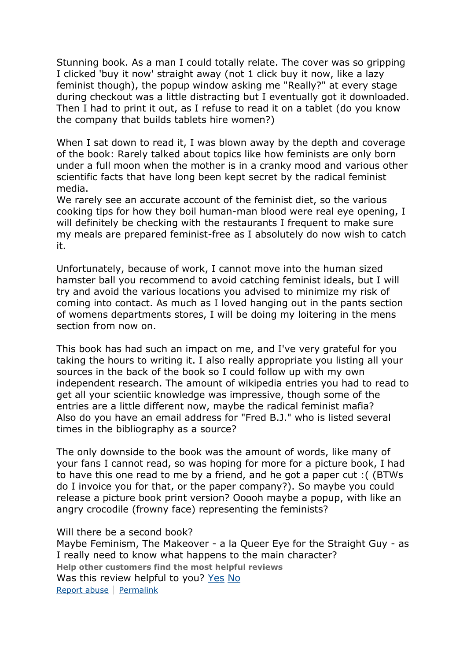Stunning book. As a man I could totally relate. The cover was so gripping I clicked 'buy it now' straight away (not 1 click buy it now, like a lazy feminist though), the popup window asking me "Really?" at every stage during checkout was a little distracting but I eventually got it downloaded. Then I had to print it out, as I refuse to read it on a tablet (do you know the company that builds tablets hire women?)

When I sat down to read it, I was blown away by the depth and coverage of the book: Rarely talked about topics like how feminists are only born under a full moon when the mother is in a cranky mood and various other scientific facts that have long been kept secret by the radical feminist media.

We rarely see an accurate account of the feminist diet, so the various cooking tips for how they boil human-man blood were real eye opening, I will definitely be checking with the restaurants I frequent to make sure my meals are prepared feminist-free as I absolutely do now wish to catch it.

Unfortunately, because of work, I cannot move into the human sized hamster ball you recommend to avoid catching feminist ideals, but I will try and avoid the various locations you advised to minimize my risk of coming into contact. As much as I loved hanging out in the pants section of womens departments stores, I will be doing my loitering in the mens section from now on.

This book has had such an impact on me, and I've very grateful for you taking the hours to writing it. I also really appropriate you listing all your sources in the back of the book so I could follow up with my own independent research. The amount of wikipedia entries you had to read to get all your scientiic knowledge was impressive, though some of the entries are a little different now, maybe the radical feminist mafia? Also do you have an email address for "Fred B.J." who is listed several times in the bibliography as a source?

The only downside to the book was the amount of words, like many of your fans I cannot read, so was hoping for more for a picture book, I had to have this one read to me by a friend, and he got a paper cut :( (BTWs do I invoice you for that, or the paper company?). So maybe you could release a picture book print version? Ooooh maybe a popup, with like an angry crocodile (frowny face) representing the feminists?

Will there be a second book?

Maybe Feminism, The Makeover - a la Queer Eye for the Straight Guy - as I really need to know what happens to the main character? **Help other customers find the most helpful reviews** Was this review helpful to you? [Yes](http://www.amazon.com/gp/voting/cast/Reviews/2115/R2A2PZL3E5QM4C/Helpful/1/ref=cm_cr_prvoteyn?ie=UTF8&target=aHR0cDovL3d3dy5hbWF6b24uY29tL3Jldmlldy9CMDA3OTVCUEVPL3JlZj1jbV9jcl9wcnZvdGVyZHI_X2VuY29kaW5nPVVURjgmcGFnZU51bWJlcj0yJnNob3dWaWV3cG9pbnRzPTAmc29ydEJ5PWJ5U3VibWlzc2lvbkRhdGVEZXNjZW5kaW5n&token=7617AF227E8395533E078915BBFAA5B79240C412&voteAnchorName=R2A2PZL3E5QM4C.2115.Helpful.Reviews&voteSessionID=184-3769442-0867816) [No](http://www.amazon.com/gp/voting/cast/Reviews/2115/R2A2PZL3E5QM4C/Helpful/-1/ref=cm_cr_prvoteyn?ie=UTF8&target=aHR0cDovL3d3dy5hbWF6b24uY29tL3Jldmlldy9CMDA3OTVCUEVPL3JlZj1jbV9jcl9wcnZvdGVyZHI_X2VuY29kaW5nPVVURjgmcGFnZU51bWJlcj0yJnNob3dWaWV3cG9pbnRzPTAmc29ydEJ5PWJ5U3VibWlzc2lvbkRhdGVEZXNjZW5kaW5n&token=DE9670A4FDA2C7B2B682D441481B763A2DDF61AB&voteAnchorName=R2A2PZL3E5QM4C.2115.Helpful.Reviews&voteSessionID=184-3769442-0867816) [Report abuse](http://www.amazon.com/gp/voting/cast/Reviews/2115/R2A2PZL3E5QM4C/Inappropriate/1/ref=cm_cr_prvoteyn?ie=UTF8&target=aHR0cDovL3d3dy5hbWF6b24uY29tL3Jldmlldy9CMDA3OTVCUEVPL3JlZj1jbV9jcl9wcnZvdGVyZHI_X2VuY29kaW5nPVVURjgmcGFnZU51bWJlcj0yJnNob3dWaWV3cG9pbnRzPTAmc29ydEJ5PWJ5U3VibWlzc2lvbkRhdGVEZXNjZW5kaW5n&token=7CA8F99AA7D2DEC43C3D4916E8E82BD30D92EB07&voteAnchorName=R2A2PZL3E5QM4C.2115.Inappropriate.Reviews&voteSessionID=184-3769442-0867816) | [Permalink](http://www.amazon.com/review/R2A2PZL3E5QM4C/ref=cm_cr_pr_perm?ie=UTF8&ASIN=B00795BPEO)